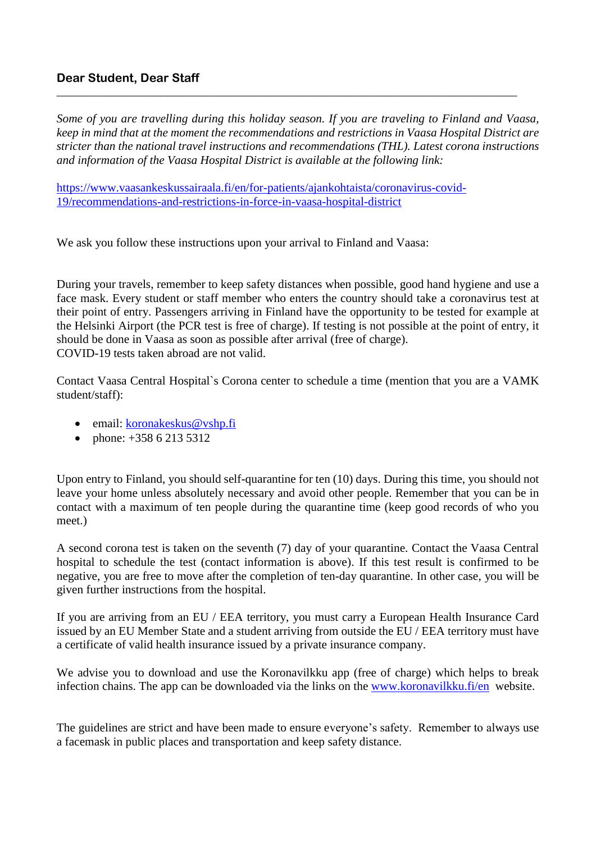## **Dear Student, Dear Staff**

*Some of you are travelling during this holiday season. If you are traveling to Finland and Vaasa, keep in mind that at the moment the recommendations and restrictions in Vaasa Hospital District are stricter than the national travel instructions and recommendations (THL). Latest corona instructions and information of the Vaasa Hospital District is available at the following link:*

\_\_\_\_\_\_\_\_\_\_\_\_\_\_\_\_\_\_\_\_\_\_\_\_\_\_\_\_\_\_\_\_\_\_\_\_\_\_\_\_\_\_\_\_\_\_\_\_\_\_\_\_\_\_\_\_\_\_\_\_\_\_\_\_\_\_\_\_\_\_\_\_\_\_\_\_\_\_\_\_

[https://www.vaasankeskussairaala.fi/en/for-patients/ajankohtaista/coronavirus-covid-](https://www.vaasankeskussairaala.fi/en/for-patients/ajankohtaista/coronavirus-covid-19/recommendations-and-restrictions-in-force-in-vaasa-hospital-district)[19/recommendations-and-restrictions-in-force-in-vaasa-hospital-district](https://www.vaasankeskussairaala.fi/en/for-patients/ajankohtaista/coronavirus-covid-19/recommendations-and-restrictions-in-force-in-vaasa-hospital-district)

We ask you follow these instructions upon your arrival to Finland and Vaasa:

During your travels, remember to keep safety distances when possible, good hand hygiene and use a face mask. Every student or staff member who enters the country should take a coronavirus test at their point of entry. Passengers arriving in Finland have the opportunity to be tested for example at the Helsinki Airport (the PCR test is free of charge). If testing is not possible at the point of entry, it should be done in Vaasa as soon as possible after arrival (free of charge). COVID-19 tests taken abroad are not valid.

Contact Vaasa Central Hospital`s Corona center to schedule a time (mention that you are a VAMK student/staff):

- email: [koronakeskus@vshp.fi](mailto:koronakeskus@vshp.fi)
- phone:  $+35862135312$

Upon entry to Finland, you should self-quarantine for ten (10) days. During this time, you should not leave your home unless absolutely necessary and avoid other people. Remember that you can be in contact with a maximum of ten people during the quarantine time (keep good records of who you meet.)

A second corona test is taken on the seventh (7) day of your quarantine. Contact the Vaasa Central hospital to schedule the test (contact information is above). If this test result is confirmed to be negative, you are free to move after the completion of ten-day quarantine. In other case, you will be given further instructions from the hospital.

If you are arriving from an EU / EEA territory, you must carry a European Health Insurance Card issued by an EU Member State and a student arriving from outside the EU / EEA territory must have a certificate of valid health insurance issued by a private insurance company.

We advise you to download and use the Koronavilkku app (free of charge) which helps to break infection chains. The app can be downloaded via the links on the [www.koronavilkku.fi/en](http://www.koronavilkku.fi/en) website.

The guidelines are strict and have been made to ensure everyone's safety. Remember to always use a facemask in public places and transportation and keep safety distance.